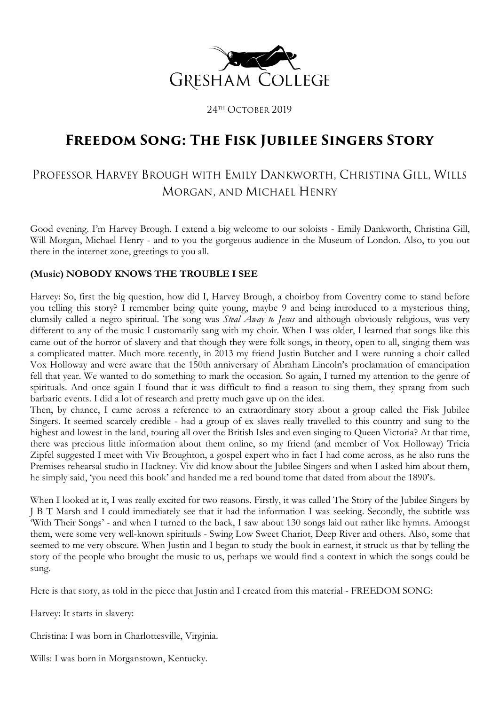

24TH OCTOBER 2019

# **Freedom Song: The Fisk Jubilee Singers Story**

# PROFESSOR HARVEY BROUGH WITH EMILY DANKWORTH, CHRISTINA GILL, WILLS MORGAN, AND MICHAEL HENRY

Good evening. I'm Harvey Brough. I extend a big welcome to our soloists - Emily Dankworth, Christina Gill, Will Morgan, Michael Henry - and to you the gorgeous audience in the Museum of London. Also, to you out there in the internet zone, greetings to you all.

# **(Music) NOBODY KNOWS THE TROUBLE I SEE**

Harvey: So, first the big question, how did I, Harvey Brough, a choirboy from Coventry come to stand before you telling this story? I remember being quite young, maybe 9 and being introduced to a mysterious thing, clumsily called a negro spiritual. The song was *Steal Away to Jesus* and although obviously religious, was very different to any of the music I customarily sang with my choir. When I was older, I learned that songs like this came out of the horror of slavery and that though they were folk songs, in theory, open to all, singing them was a complicated matter. Much more recently, in 2013 my friend Justin Butcher and I were running a choir called Vox Holloway and were aware that the 150th anniversary of Abraham Lincoln's proclamation of emancipation fell that year. We wanted to do something to mark the occasion. So again, I turned my attention to the genre of spirituals. And once again I found that it was difficult to find a reason to sing them, they sprang from such barbaric events. I did a lot of research and pretty much gave up on the idea.

Then, by chance, I came across a reference to an extraordinary story about a group called the Fisk Jubilee Singers. It seemed scarcely credible - had a group of ex slaves really travelled to this country and sung to the highest and lowest in the land, touring all over the British Isles and even singing to Queen Victoria? At that time, there was precious little information about them online, so my friend (and member of Vox Holloway) Tricia Zipfel suggested I meet with Viv Broughton, a gospel expert who in fact I had come across, as he also runs the Premises rehearsal studio in Hackney. Viv did know about the Jubilee Singers and when I asked him about them, he simply said, 'you need this book' and handed me a red bound tome that dated from about the 1890's.

When I looked at it, I was really excited for two reasons. Firstly, it was called The Story of the Jubilee Singers by J B T Marsh and I could immediately see that it had the information I was seeking. Secondly, the subtitle was 'With Their Songs' - and when I turned to the back, I saw about 130 songs laid out rather like hymns. Amongst them, were some very well-known spirituals - Swing Low Sweet Chariot, Deep River and others. Also, some that seemed to me very obscure. When Justin and I began to study the book in earnest, it struck us that by telling the story of the people who brought the music to us, perhaps we would find a context in which the songs could be sung.

Here is that story, as told in the piece that Justin and I created from this material - FREEDOM SONG:

Harvey: It starts in slavery:

Christina: I was born in Charlottesville, Virginia.

Wills: I was born in Morganstown, Kentucky.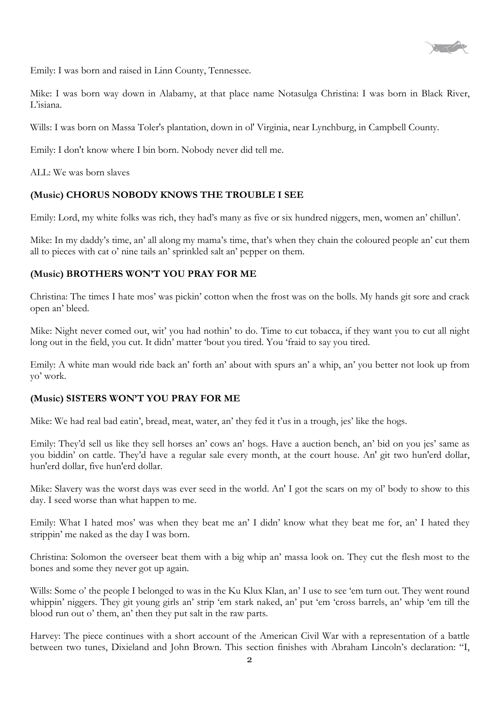

Emily: I was born and raised in Linn County, Tennessee.

Mike: I was born way down in Alabamy, at that place name Notasulga Christina: I was born in Black River, L'isiana.

Wills: I was born on Massa Toler's plantation, down in ol' Virginia, near Lynchburg, in Campbell County.

Emily: I don't know where I bin born. Nobody never did tell me.

ALL: We was born slaves

# **(Music) CHORUS NOBODY KNOWS THE TROUBLE I SEE**

Emily: Lord, my white folks was rich, they had's many as five or six hundred niggers, men, women an' chillun'.

Mike: In my daddy's time, an' all along my mama's time, that's when they chain the coloured people an' cut them all to pieces with cat o' nine tails an' sprinkled salt an' pepper on them.

# **(Music) BROTHERS WON'T YOU PRAY FOR ME**

Christina: The times I hate mos' was pickin' cotton when the frost was on the bolls. My hands git sore and crack open an' bleed.

Mike: Night never comed out, wit' you had nothin' to do. Time to cut tobacca, if they want you to cut all night long out in the field, you cut. It didn' matter 'bout you tired. You 'fraid to say you tired.

Emily: A white man would ride back an' forth an' about with spurs an' a whip, an' you better not look up from yo' work.

# **(Music) SISTERS WON'T YOU PRAY FOR ME**

Mike: We had real bad eatin', bread, meat, water, an' they fed it t'us in a trough, jes' like the hogs.

Emily: They'd sell us like they sell horses an' cows an' hogs. Have a auction bench, an' bid on you jes' same as you biddin' on cattle. They'd have a regular sale every month, at the court house. An' git two hun'erd dollar, hun'erd dollar, five hun'erd dollar.

Mike: Slavery was the worst days was ever seed in the world. An' I got the scars on my ol' body to show to this day. I seed worse than what happen to me.

Emily: What I hated mos' was when they beat me an' I didn' know what they beat me for, an' I hated they strippin' me naked as the day I was born.

Christina: Solomon the overseer beat them with a big whip an' massa look on. They cut the flesh most to the bones and some they never got up again.

Wills: Some o' the people I belonged to was in the Ku Klux Klan, an' I use to see 'em turn out. They went round whippin' niggers. They git young girls an' strip 'em stark naked, an' put 'em 'cross barrels, an' whip 'em till the blood run out o' them, an' then they put salt in the raw parts.

Harvey: The piece continues with a short account of the American Civil War with a representation of a battle between two tunes, Dixieland and John Brown. This section finishes with Abraham Lincoln's declaration: "I,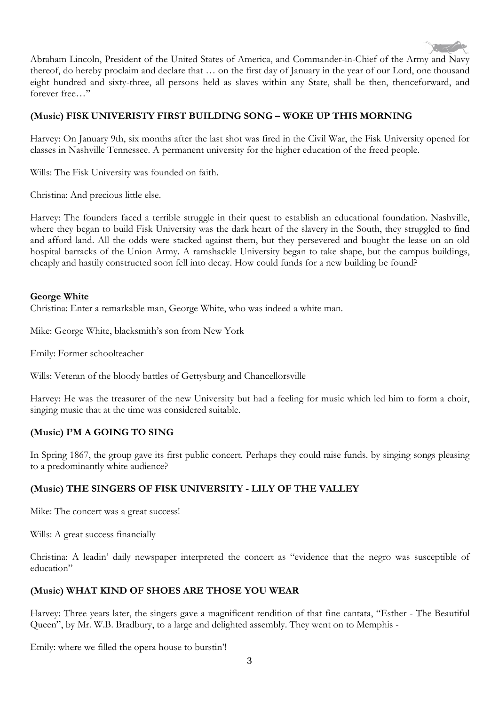

Abraham Lincoln, President of the United States of America, and Commander-in-Chief of the Army and Navy thereof, do hereby proclaim and declare that … on the first day of January in the year of our Lord, one thousand eight hundred and sixty-three, all persons held as slaves within any State, shall be then, thenceforward, and forever free…"

## **(Music) FISK UNIVERISTY FIRST BUILDING SONG – WOKE UP THIS MORNING**

Harvey: On January 9th, six months after the last shot was fired in the Civil War, the Fisk University opened for classes in Nashville Tennessee. A permanent university for the higher education of the freed people.

Wills: The Fisk University was founded on faith.

Christina: And precious little else.

Harvey: The founders faced a terrible struggle in their quest to establish an educational foundation. Nashville, where they began to build Fisk University was the dark heart of the slavery in the South, they struggled to find and afford land. All the odds were stacked against them, but they persevered and bought the lease on an old hospital barracks of the Union Army. A ramshackle University began to take shape, but the campus buildings, cheaply and hastily constructed soon fell into decay. How could funds for a new building be found?

#### **George White**

Christina: Enter a remarkable man, George White, who was indeed a white man.

Mike: George White, blacksmith's son from New York

Emily: Former schoolteacher

Wills: Veteran of the bloody battles of Gettysburg and Chancellorsville

Harvey: He was the treasurer of the new University but had a feeling for music which led him to form a choir, singing music that at the time was considered suitable.

## **(Music) I'M A GOING TO SING**

In Spring 1867, the group gave its first public concert. Perhaps they could raise funds. by singing songs pleasing to a predominantly white audience?

## **(Music) THE SINGERS OF FISK UNIVERSITY - LILY OF THE VALLEY**

Mike: The concert was a great success!

Wills: A great success financially

Christina: A leadin' daily newspaper interpreted the concert as "evidence that the negro was susceptible of education"

## **(Music) WHAT KIND OF SHOES ARE THOSE YOU WEAR**

Harvey: Three years later, the singers gave a magnificent rendition of that fine cantata, "Esther - The Beautiful Queen", by Mr. W.B. Bradbury, to a large and delighted assembly. They went on to Memphis -

Emily: where we filled the opera house to burstin'!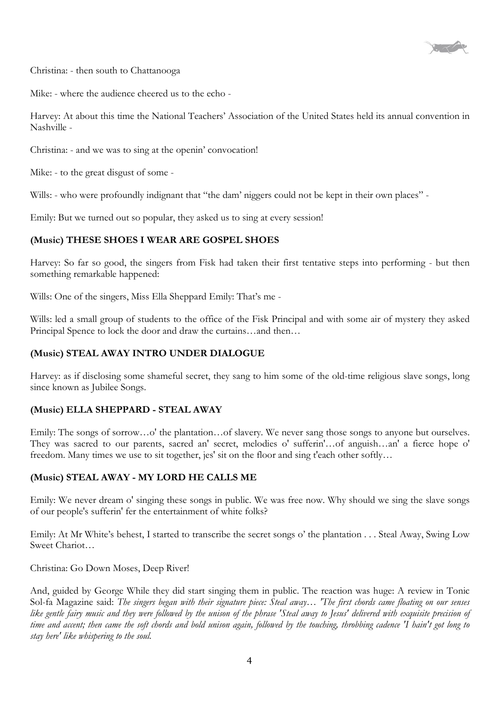

Christina: - then south to Chattanooga

Mike: - where the audience cheered us to the echo -

Harvey: At about this time the National Teachers' Association of the United States held its annual convention in Nashville -

Christina: - and we was to sing at the openin' convocation!

Mike: - to the great disgust of some -

Wills: - who were profoundly indignant that "the dam' niggers could not be kept in their own places" -

Emily: But we turned out so popular, they asked us to sing at every session!

## **(Music) THESE SHOES I WEAR ARE GOSPEL SHOES**

Harvey: So far so good, the singers from Fisk had taken their first tentative steps into performing - but then something remarkable happened:

Wills: One of the singers, Miss Ella Sheppard Emily: That's me -

Wills: led a small group of students to the office of the Fisk Principal and with some air of mystery they asked Principal Spence to lock the door and draw the curtains…and then…

## **(Music) STEAL AWAY INTRO UNDER DIALOGUE**

Harvey: as if disclosing some shameful secret, they sang to him some of the old-time religious slave songs, long since known as Jubilee Songs.

## **(Music) ELLA SHEPPARD - STEAL AWAY**

Emily: The songs of sorrow…o' the plantation…of slavery. We never sang those songs to anyone but ourselves. They was sacred to our parents, sacred an' secret, melodies o' sufferin'…of anguish…an' a fierce hope o' freedom. Many times we use to sit together, jes' sit on the floor and sing t'each other softly…

## **(Music) STEAL AWAY - MY LORD HE CALLS ME**

Emily: We never dream o' singing these songs in public. We was free now. Why should we sing the slave songs of our people's sufferin' fer the entertainment of white folks?

Emily: At Mr White's behest, I started to transcribe the secret songs o' the plantation . . . Steal Away, Swing Low Sweet Chariot…

Christina: Go Down Moses, Deep River!

And, guided by George While they did start singing them in public. The reaction was huge: A review in Tonic Sol-fa Magazine said: *The singers began with their signature piece: Steal away… 'The first chords came floating on our senses like gentle fairy music and they were followed by the unison of the phrase 'Steal away to Jesus' delivered with exquisite precision of time and accent; then came the soft chords and bold unison again, followed by the touching, throbbing cadence 'I hain't got long to stay here' like whispering to the soul.*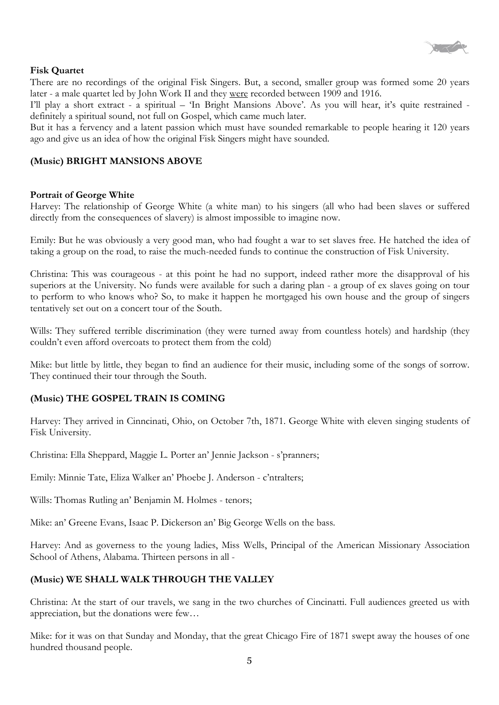

#### **Fisk Quartet**

There are no recordings of the original Fisk Singers. But, a second, smaller group was formed some 20 years later - a male quartet led by John Work II and they were recorded between 1909 and 1916.

I'll play a short extract - a spiritual – 'In Bright Mansions Above'. As you will hear, it's quite restrained definitely a spiritual sound, not full on Gospel, which came much later.

But it has a fervency and a latent passion which must have sounded remarkable to people hearing it 120 years ago and give us an idea of how the original Fisk Singers might have sounded.

#### **(Music) BRIGHT MANSIONS ABOVE**

#### **Portrait of George White**

Harvey: The relationship of George White (a white man) to his singers (all who had been slaves or suffered directly from the consequences of slavery) is almost impossible to imagine now.

Emily: But he was obviously a very good man, who had fought a war to set slaves free. He hatched the idea of taking a group on the road, to raise the much-needed funds to continue the construction of Fisk University.

Christina: This was courageous - at this point he had no support, indeed rather more the disapproval of his superiors at the University. No funds were available for such a daring plan - a group of ex slaves going on tour to perform to who knows who? So, to make it happen he mortgaged his own house and the group of singers tentatively set out on a concert tour of the South.

Wills: They suffered terrible discrimination (they were turned away from countless hotels) and hardship (they couldn't even afford overcoats to protect them from the cold)

Mike: but little by little, they began to find an audience for their music, including some of the songs of sorrow. They continued their tour through the South.

## **(Music) THE GOSPEL TRAIN IS COMING**

Harvey: They arrived in Cinncinati, Ohio, on October 7th, 1871. George White with eleven singing students of Fisk University.

Christina: Ella Sheppard, Maggie L. Porter an' Jennie Jackson - s'pranners;

Emily: Minnie Tate, Eliza Walker an' Phoebe J. Anderson - c'ntralters;

Wills: Thomas Rutling an' Benjamin M. Holmes - tenors;

Mike: an' Greene Evans, Isaac P. Dickerson an' Big George Wells on the bass.

Harvey: And as governess to the young ladies, Miss Wells, Principal of the American Missionary Association School of Athens, Alabama. Thirteen persons in all -

## **(Music) WE SHALL WALK THROUGH THE VALLEY**

Christina: At the start of our travels, we sang in the two churches of Cincinatti. Full audiences greeted us with appreciation, but the donations were few…

Mike: for it was on that Sunday and Monday, that the great Chicago Fire of 1871 swept away the houses of one hundred thousand people.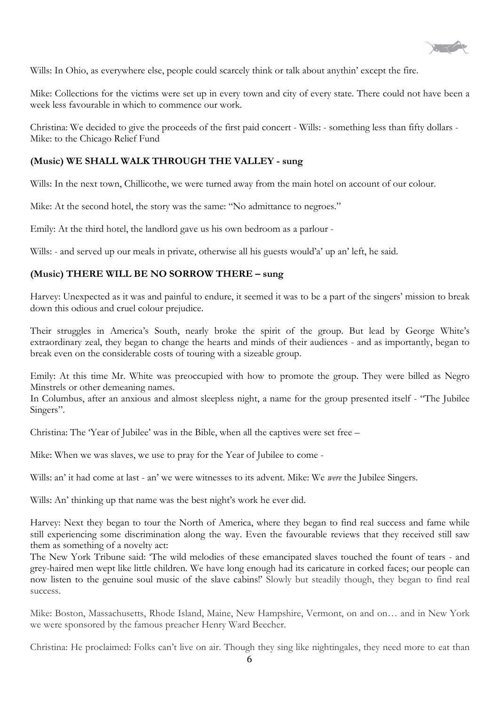

Wills: In Ohio, as everywhere else, people could scarcely think or talk about anythin' except the fire.

Mike: Collections for the victims were set up in every town and city of every state. There could not have been a week less favourable in which to commence our work.

Christina: We decided to give the proceeds of the first paid concert - Wills: - something less than fifty dollars - Mike: to the Chicago Relief Fund

#### **(Music) WE SHALL WALK THROUGH THE VALLEY - sung**

Wills: In the next town, Chillicothe, we were turned away from the main hotel on account of our colour.

Mike: At the second hotel, the story was the same: "No admittance to negroes."

Emily: At the third hotel, the landlord gave us his own bedroom as a parlour -

Wills: - and served up our meals in private, otherwise all his guests would'a' up an' left, he said.

#### **(Music) THERE WILL BE NO SORROW THERE – sung**

Harvey: Unexpected as it was and painful to endure, it seemed it was to be a part of the singers' mission to break down this odious and cruel colour prejudice.

Their struggles in America's South, nearly broke the spirit of the group. But lead by George White's extraordinary zeal, they began to change the hearts and minds of their audiences - and as importantly, began to break even on the considerable costs of touring with a sizeable group.

Emily: At this time Mr. White was preoccupied with how to promote the group. They were billed as Negro Minstrels or other demeaning names.

In Columbus, after an anxious and almost sleepless night, a name for the group presented itself - "The Jubilee Singers".

Christina: The 'Year of Jubilee' was in the Bible, when all the captives were set free –

Mike: When we was slaves, we use to pray for the Year of Jubilee to come -

Wills: an' it had come at last - an' we were witnesses to its advent. Mike: We *were* the Jubilee Singers.

Wills: An' thinking up that name was the best night's work he ever did.

Harvey: Next they began to tour the North of America, where they began to find real success and fame while still experiencing some discrimination along the way. Even the favourable reviews that they received still saw them as something of a novelty act:

The New York Tribune said: 'The wild melodies of these emancipated slaves touched the fount of tears - and grey-haired men wept like little children. We have long enough had its caricature in corked faces; our people can now listen to the genuine soul music of the slave cabins!' Slowly but steadily though, they began to find real success.

Mike: Boston, Massachusetts, Rhode Island, Maine, New Hampshire, Vermont, on and on… and in New York we were sponsored by the famous preacher Henry Ward Beecher.

Christina: He proclaimed: Folks can't live on air. Though they sing like nightingales, they need more to eat than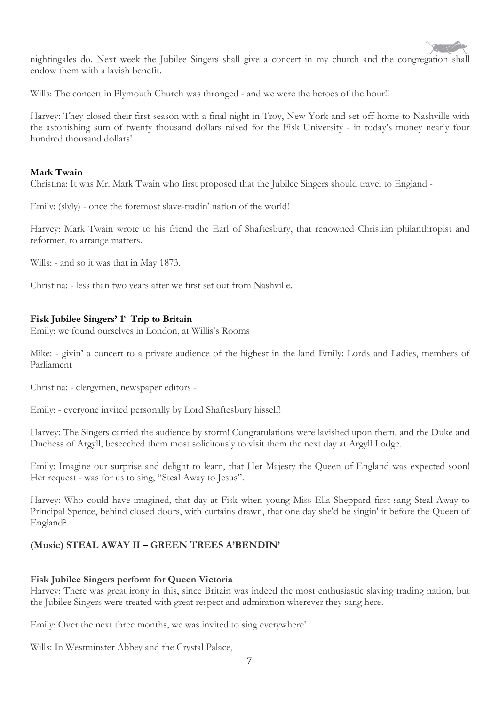

nightingales do. Next week the Jubilee Singers shall give a concert in my church and the congregation shall endow them with a lavish benefit.

Wills: The concert in Plymouth Church was thronged - and we were the heroes of the hour!!

Harvey: They closed their first season with a final night in Troy, New York and set off home to Nashville with the astonishing sum of twenty thousand dollars raised for the Fisk University - in today's money nearly four hundred thousand dollars!

#### **Mark Twain**

Christina: It was Mr. Mark Twain who first proposed that the Jubilee Singers should travel to England -

Emily: (slyly) - once the foremost slave-tradin' nation of the world!

Harvey: Mark Twain wrote to his friend the Earl of Shaftesbury, that renowned Christian philanthropist and reformer, to arrange matters.

Wills: - and so it was that in May 1873.

Christina: - less than two years after we first set out from Nashville.

## **Fisk Jubilee Singers' 1st Trip to Britain**

Emily: we found ourselves in London, at Willis's Rooms

Mike: - givin' a concert to a private audience of the highest in the land Emily: Lords and Ladies, members of Parliament

Christina: - clergymen, newspaper editors -

Emily: - everyone invited personally by Lord Shaftesbury hisself!

Harvey: The Singers carried the audience by storm! Congratulations were lavished upon them, and the Duke and Duchess of Argyll, beseeched them most solicitously to visit them the next day at Argyll Lodge.

Emily: Imagine our surprise and delight to learn, that Her Majesty the Queen of England was expected soon! Her request - was for us to sing, "Steal Away to Jesus".

Harvey: Who could have imagined, that day at Fisk when young Miss Ella Sheppard first sang Steal Away to Principal Spence, behind closed doors, with curtains drawn, that one day she'd be singin' it before the Queen of England?

## **(Music) STEAL AWAY II – GREEN TREES A'BENDIN'**

#### **Fisk Jubilee Singers perform for Queen Victoria**

Harvey: There was great irony in this, since Britain was indeed the most enthusiastic slaving trading nation, but the Jubilee Singers were treated with great respect and admiration wherever they sang here.

Emily: Over the next three months, we was invited to sing everywhere!

Wills: In Westminster Abbey and the Crystal Palace,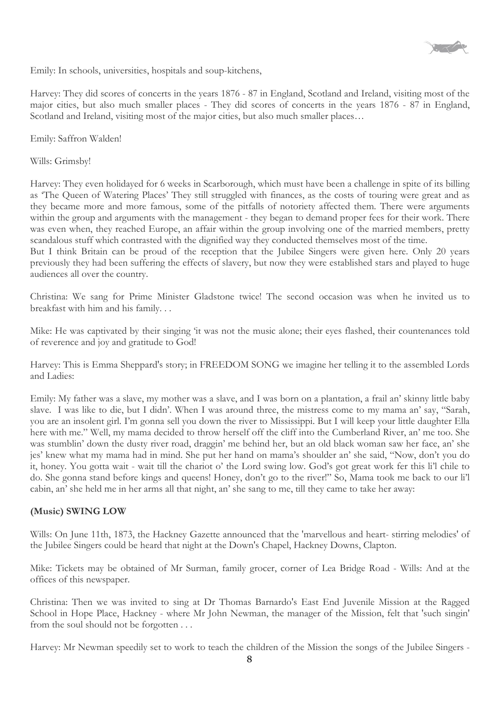

Emily: In schools, universities, hospitals and soup-kitchens,

Harvey: They did scores of concerts in the years 1876 - 87 in England, Scotland and Ireland, visiting most of the major cities, but also much smaller places - They did scores of concerts in the years 1876 - 87 in England, Scotland and Ireland, visiting most of the major cities, but also much smaller places...

Emily: Saffron Walden!

Wills: Grimsby!

Harvey: They even holidayed for 6 weeks in Scarborough, which must have been a challenge in spite of its billing as 'The Queen of Watering Places' They still struggled with finances, as the costs of touring were great and as they became more and more famous, some of the pitfalls of notoriety affected them. There were arguments within the group and arguments with the management - they began to demand proper fees for their work. There was even when, they reached Europe, an affair within the group involving one of the married members, pretty scandalous stuff which contrasted with the dignified way they conducted themselves most of the time.

But I think Britain can be proud of the reception that the Jubilee Singers were given here. Only 20 years previously they had been suffering the effects of slavery, but now they were established stars and played to huge audiences all over the country.

Christina: We sang for Prime Minister Gladstone twice! The second occasion was when he invited us to breakfast with him and his family. . .

Mike: He was captivated by their singing 'it was not the music alone; their eyes flashed, their countenances told of reverence and joy and gratitude to God!

Harvey: This is Emma Sheppard's story; in FREEDOM SONG we imagine her telling it to the assembled Lords and Ladies:

Emily: My father was a slave, my mother was a slave, and I was born on a plantation, a frail an' skinny little baby slave. I was like to die, but I didn'. When I was around three, the mistress come to my mama an' say, "Sarah, you are an insolent girl. I'm gonna sell you down the river to Mississippi. But I will keep your little daughter Ella here with me." Well, my mama decided to throw herself off the cliff into the Cumberland River, an' me too. She was stumblin' down the dusty river road, draggin' me behind her, but an old black woman saw her face, an' she jes' knew what my mama had in mind. She put her hand on mama's shoulder an' she said, "Now, don't you do it, honey. You gotta wait - wait till the chariot o' the Lord swing low. God's got great work fer this li'l chile to do. She gonna stand before kings and queens! Honey, don't go to the river!" So, Mama took me back to our li'l cabin, an' she held me in her arms all that night, an' she sang to me, till they came to take her away:

## **(Music) SWING LOW**

Wills: On June 11th, 1873, the Hackney Gazette announced that the 'marvellous and heart- stirring melodies' of the Jubilee Singers could be heard that night at the Down's Chapel, Hackney Downs, Clapton.

Mike: Tickets may be obtained of Mr Surman, family grocer, corner of Lea Bridge Road - Wills: And at the offices of this newspaper.

Christina: Then we was invited to sing at Dr Thomas Barnardo's East End Juvenile Mission at the Ragged School in Hope Place, Hackney - where Mr John Newman, the manager of the Mission, felt that 'such singin' from the soul should not be forgotten . . .

Harvey: Mr Newman speedily set to work to teach the children of the Mission the songs of the Jubilee Singers -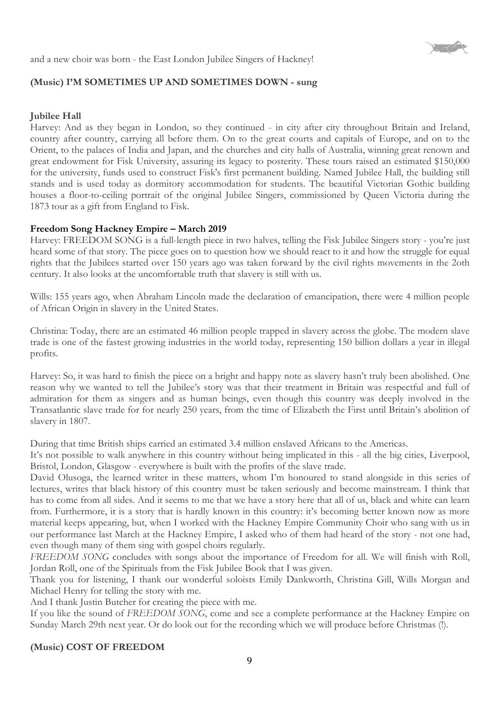

and a new choir was born - the East London Jubilee Singers of Hackney!

## **(Music) I'M SOMETIMES UP AND SOMETIMES DOWN - sung**

## **Jubilee Hall**

Harvey: And as they began in London, so they continued - in city after city throughout Britain and Ireland, country after country, carrying all before them. On to the great courts and capitals of Europe, and on to the Orient, to the palaces of India and Japan, and the churches and city halls of Australia, winning great renown and great endowment for Fisk University, assuring its legacy to posterity. These tours raised an estimated \$150,000 for the university, funds used to construct Fisk's first permanent building. Named Jubilee Hall, the building still stands and is used today as dormitory accommodation for students. The beautiful Victorian Gothic building houses a floor-to-ceiling portrait of the original Jubilee Singers, commissioned by Queen Victoria during the 1873 tour as a gift from England to Fisk.

## **Freedom Song Hackney Empire – March 2019**

Harvey: FREEDOM SONG is a full-length piece in two halves, telling the Fisk Jubilee Singers story - you're just heard some of that story. The piece goes on to question how we should react to it and how the struggle for equal rights that the Jubilees started over 150 years ago was taken forward by the civil rights movements in the 2oth century. It also looks at the uncomfortable truth that slavery is still with us.

Wills: 155 years ago, when Abraham Lincoln made the declaration of emancipation, there were 4 million people of African Origin in slavery in the United States.

Christina: Today, there are an estimated 46 million people trapped in slavery across the globe. The modern slave trade is one of the fastest growing industries in the world today, representing 150 billion dollars a year in illegal profits.

Harvey: So, it was hard to finish the piece on a bright and happy note as slavery hasn't truly been abolished. One reason why we wanted to tell the Jubilee's story was that their treatment in Britain was respectful and full of admiration for them as singers and as human beings, even though this country was deeply involved in the Transatlantic slave trade for for nearly 250 years, from the time of Elizabeth the First until Britain's abolition of slavery in 1807.

During that time British ships carried an estimated 3.4 million enslaved Africans to the Americas.

It's not possible to walk anywhere in this country without being implicated in this - all the big cities, Liverpool, Bristol, London, Glasgow - everywhere is built with the profits of the slave trade.

David Olusoga, the learned writer in these matters, whom I'm honoured to stand alongside in this series of lectures, writes that black history of this country must be taken seriously and become mainstream. I think that has to come from all sides. And it seems to me that we have a story here that all of us, black and white can learn from. Furthermore, it is a story that is hardly known in this country: it's becoming better known now as more material keeps appearing, but, when I worked with the Hackney Empire Community Choir who sang with us in our performance last March at the Hackney Empire, I asked who of them had heard of the story - not one had, even though many of them sing with gospel choirs regularly.

*FREEDOM SONG* concludes with songs about the importance of Freedom for all. We will finish with Roll, Jordan Roll, one of the Spirituals from the Fisk Jubilee Book that I was given.

Thank you for listening, I thank our wonderful soloists Emily Dankworth, Christina Gill, Wills Morgan and Michael Henry for telling the story with me.

And I thank Justin Butcher for creating the piece with me.

If you like the sound of *FREEDOM SONG*, come and see a complete performance at the Hackney Empire on Sunday March 29th next year. Or do look out for the recording which we will produce before Christmas (!).

## **(Music) COST OF FREEDOM**